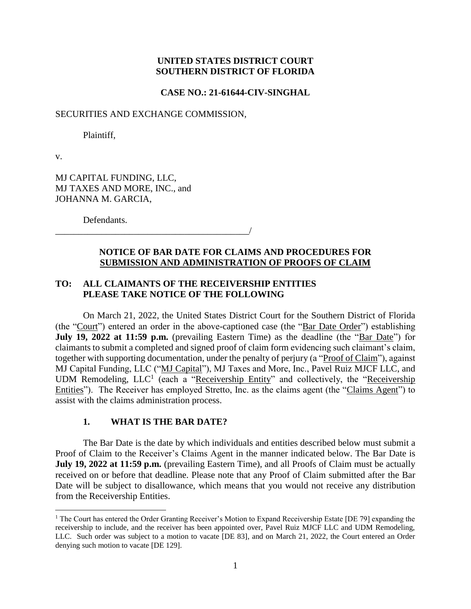### **UNITED STATES DISTRICT COURT SOUTHERN DISTRICT OF FLORIDA**

**CASE NO.: 21-61644-CIV-SINGHAL**

#### SECURITIES AND EXCHANGE COMMISSION,

Plaintiff,

v.

 $\overline{a}$ 

MJ CAPITAL FUNDING, LLC, MJ TAXES AND MORE, INC., and JOHANNA M. GARCIA,

Defendants.

### \_\_\_\_\_\_\_\_\_\_\_\_\_\_\_\_\_\_\_\_\_\_\_\_\_\_\_\_\_\_\_\_\_\_\_\_\_\_\_\_\_\_/

# **NOTICE OF BAR DATE FOR CLAIMS AND PROCEDURES FOR SUBMISSION AND ADMINISTRATION OF PROOFS OF CLAIM**

# **TO: ALL CLAIMANTS OF THE RECEIVERSHIP ENTITIES PLEASE TAKE NOTICE OF THE FOLLOWING**

On March 21, 2022, the United States District Court for the Southern District of Florida (the "Court") entered an order in the above-captioned case (the "Bar Date Order") establishing **July 19, 2022 at 11:59 p.m.** (prevailing Eastern Time) as the deadline (the "Bar Date") for claimants to submit a completed and signed proof of claim form evidencing such claimant's claim, together with supporting documentation, under the penalty of perjury (a "Proof of Claim"), against MJ Capital Funding, LLC ("MJ Capital"), MJ Taxes and More, Inc., Pavel Ruiz MJCF LLC, and UDM Remodeling, LLC<sup>1</sup> (each a "Receivership Entity" and collectively, the "Receivership Entities"). The Receiver has employed Stretto, Inc. as the claims agent (the "Claims Agent") to assist with the claims administration process.

#### **1. WHAT IS THE BAR DATE?**

The Bar Date is the date by which individuals and entities described below must submit a Proof of Claim to the Receiver's Claims Agent in the manner indicated below. The Bar Date is **July 19, 2022 at 11:59 p.m.** (prevailing Eastern Time), and all Proofs of Claim must be actually received on or before that deadline. Please note that any Proof of Claim submitted after the Bar Date will be subject to disallowance, which means that you would not receive any distribution from the Receivership Entities.

<sup>&</sup>lt;sup>1</sup> The Court has entered the Order Granting Receiver's Motion to Expand Receivership Estate [DE 79] expanding the receivership to include, and the receiver has been appointed over, Pavel Ruiz MJCF LLC and UDM Remodeling, LLC. Such order was subject to a motion to vacate [DE 83], and on March 21, 2022, the Court entered an Order denying such motion to vacate [DE 129].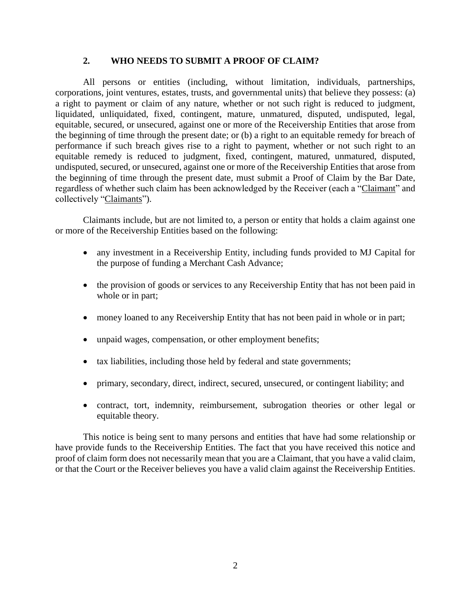# **2. WHO NEEDS TO SUBMIT A PROOF OF CLAIM?**

All persons or entities (including, without limitation, individuals, partnerships, corporations, joint ventures, estates, trusts, and governmental units) that believe they possess: (a) a right to payment or claim of any nature, whether or not such right is reduced to judgment, liquidated, unliquidated, fixed, contingent, mature, unmatured, disputed, undisputed, legal, equitable, secured, or unsecured, against one or more of the Receivership Entities that arose from the beginning of time through the present date; or (b) a right to an equitable remedy for breach of performance if such breach gives rise to a right to payment, whether or not such right to an equitable remedy is reduced to judgment, fixed, contingent, matured, unmatured, disputed, undisputed, secured, or unsecured, against one or more of the Receivership Entities that arose from the beginning of time through the present date, must submit a Proof of Claim by the Bar Date, regardless of whether such claim has been acknowledged by the Receiver (each a "Claimant" and collectively "Claimants").

Claimants include, but are not limited to, a person or entity that holds a claim against one or more of the Receivership Entities based on the following:

- any investment in a Receivership Entity, including funds provided to MJ Capital for the purpose of funding a Merchant Cash Advance;
- the provision of goods or services to any Receivership Entity that has not been paid in whole or in part;
- money loaned to any Receivership Entity that has not been paid in whole or in part;
- unpaid wages, compensation, or other employment benefits;
- tax liabilities, including those held by federal and state governments;
- primary, secondary, direct, indirect, secured, unsecured, or contingent liability; and
- contract, tort, indemnity, reimbursement, subrogation theories or other legal or equitable theory.

This notice is being sent to many persons and entities that have had some relationship or have provide funds to the Receivership Entities. The fact that you have received this notice and proof of claim form does not necessarily mean that you are a Claimant, that you have a valid claim, or that the Court or the Receiver believes you have a valid claim against the Receivership Entities.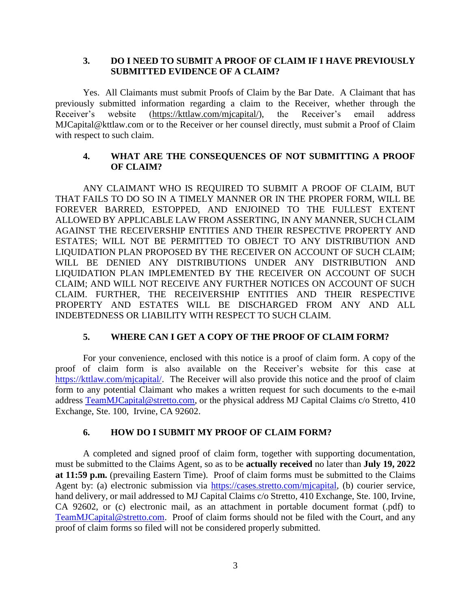## **3. DO I NEED TO SUBMIT A PROOF OF CLAIM IF I HAVE PREVIOUSLY SUBMITTED EVIDENCE OF A CLAIM?**

Yes. All Claimants must submit Proofs of Claim by the Bar Date.A Claimant that has previously submitted information regarding a claim to the Receiver, whether through the Receiver's website (https://kttlaw.com/mjcapital/), the Receiver's email address MJCapital@kttlaw.com or to the Receiver or her counsel directly, must submit a Proof of Claim with respect to such claim.

## **4. WHAT ARE THE CONSEQUENCES OF NOT SUBMITTING A PROOF OF CLAIM?**

ANY CLAIMANT WHO IS REQUIRED TO SUBMIT A PROOF OF CLAIM, BUT THAT FAILS TO DO SO IN A TIMELY MANNER OR IN THE PROPER FORM, WILL BE FOREVER BARRED, ESTOPPED, AND ENJOINED TO THE FULLEST EXTENT ALLOWED BY APPLICABLE LAW FROM ASSERTING, IN ANY MANNER, SUCH CLAIM AGAINST THE RECEIVERSHIP ENTITIES AND THEIR RESPECTIVE PROPERTY AND ESTATES; WILL NOT BE PERMITTED TO OBJECT TO ANY DISTRIBUTION AND LIQUIDATION PLAN PROPOSED BY THE RECEIVER ON ACCOUNT OF SUCH CLAIM; WILL BE DENIED ANY DISTRIBUTIONS UNDER ANY DISTRIBUTION AND LIQUIDATION PLAN IMPLEMENTED BY THE RECEIVER ON ACCOUNT OF SUCH CLAIM; AND WILL NOT RECEIVE ANY FURTHER NOTICES ON ACCOUNT OF SUCH CLAIM. FURTHER, THE RECEIVERSHIP ENTITIES AND THEIR RESPECTIVE PROPERTY AND ESTATES WILL BE DISCHARGED FROM ANY AND ALL INDEBTEDNESS OR LIABILITY WITH RESPECT TO SUCH CLAIM.

# **5. WHERE CAN I GET A COPY OF THE PROOF OF CLAIM FORM?**

For your convenience, enclosed with this notice is a proof of claim form. A copy of the proof of claim form is also available on the Receiver's website for this case at [https://kttlaw.com/mjcapital/.](https://kttlaw.com/mjcapital/) The Receiver will also provide this notice and the proof of claim form to any potential Claimant who makes a written request for such documents to the e-mail address [TeamMJCapital@stretto.com,](mailto:TeamMJCapital@stretto.com) or the physical address MJ Capital Claims c/o Stretto, 410 Exchange, Ste. 100, Irvine, CA 92602.

### **6. HOW DO I SUBMIT MY PROOF OF CLAIM FORM?**

A completed and signed proof of claim form, together with supporting documentation, must be submitted to the Claims Agent, so as to be **actually received** no later than **July 19, 2022 at 11:59 p.m.** (prevailing Eastern Time). Proof of claim forms must be submitted to the Claims Agent by: (a) electronic submission via [https://cases.stretto.com/mjcapital,](https://cases.stretto.com/mjcapital) (b) courier service, hand delivery, or mail addressed to MJ Capital Claims c/o Stretto, 410 Exchange, Ste. 100, Irvine, CA 92602, or (c) electronic mail, as an attachment in portable document format (.pdf) to [TeamMJCapital@stretto.com.](mailto:TeamMJCapital@stretto.com) Proof of claim forms should not be filed with the Court, and any proof of claim forms so filed will not be considered properly submitted.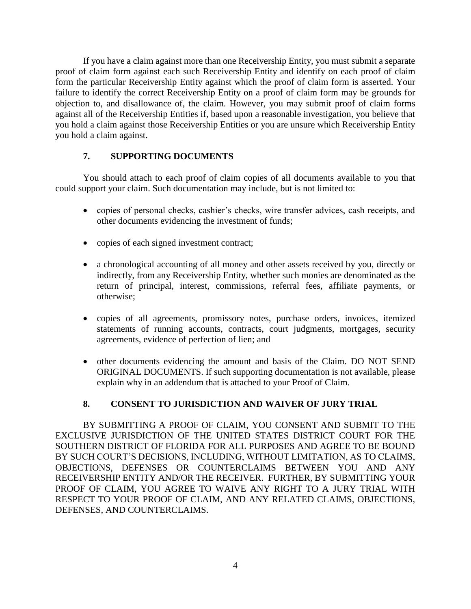If you have a claim against more than one Receivership Entity, you must submit a separate proof of claim form against each such Receivership Entity and identify on each proof of claim form the particular Receivership Entity against which the proof of claim form is asserted. Your failure to identify the correct Receivership Entity on a proof of claim form may be grounds for objection to, and disallowance of, the claim. However, you may submit proof of claim forms against all of the Receivership Entities if, based upon a reasonable investigation, you believe that you hold a claim against those Receivership Entities or you are unsure which Receivership Entity you hold a claim against.

# **7. SUPPORTING DOCUMENTS**

You should attach to each proof of claim copies of all documents available to you that could support your claim. Such documentation may include, but is not limited to:

- copies of personal checks, cashier's checks, wire transfer advices, cash receipts, and other documents evidencing the investment of funds;
- copies of each signed investment contract;
- a chronological accounting of all money and other assets received by you, directly or indirectly, from any Receivership Entity, whether such monies are denominated as the return of principal, interest, commissions, referral fees, affiliate payments, or otherwise;
- copies of all agreements, promissory notes, purchase orders, invoices, itemized statements of running accounts, contracts, court judgments, mortgages, security agreements, evidence of perfection of lien; and
- other documents evidencing the amount and basis of the Claim. DO NOT SEND ORIGINAL DOCUMENTS. If such supporting documentation is not available, please explain why in an addendum that is attached to your Proof of Claim.

# **8. CONSENT TO JURISDICTION AND WAIVER OF JURY TRIAL**

BY SUBMITTING A PROOF OF CLAIM, YOU CONSENT AND SUBMIT TO THE EXCLUSIVE JURISDICTION OF THE UNITED STATES DISTRICT COURT FOR THE SOUTHERN DISTRICT OF FLORIDA FOR ALL PURPOSES AND AGREE TO BE BOUND BY SUCH COURT'S DECISIONS, INCLUDING, WITHOUT LIMITATION, AS TO CLAIMS, OBJECTIONS, DEFENSES OR COUNTERCLAIMS BETWEEN YOU AND ANY RECEIVERSHIP ENTITY AND/OR THE RECEIVER. FURTHER, BY SUBMITTING YOUR PROOF OF CLAIM, YOU AGREE TO WAIVE ANY RIGHT TO A JURY TRIAL WITH RESPECT TO YOUR PROOF OF CLAIM, AND ANY RELATED CLAIMS, OBJECTIONS, DEFENSES, AND COUNTERCLAIMS.